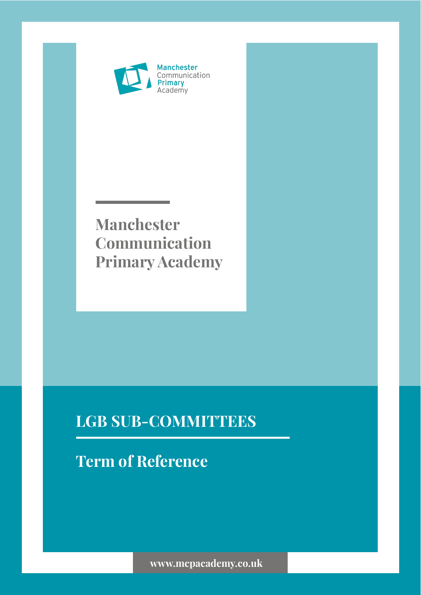

## **Manchester Communication Primary Academy**

### **LGB SUB-COMMITTEES**

# **Term of Reference**

**www.mcpacademy.co.uk**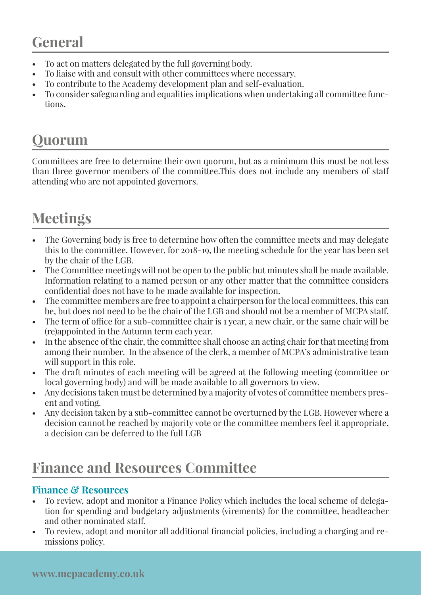### **General**

- To act on matters delegated by the full governing body.
- To liaise with and consult with other committees where necessary.
- To contribute to the Academy development plan and self-evaluation.
- To consider safeguarding and equalities implications when undertaking all committee functions.

## **Quorum**

Committees are free to determine their own quorum, but as a minimum this must be not less than three governor members of the committee.This does not include any members of staff attending who are not appointed governors.

# **Meetings**

- The Governing body is free to determine how often the committee meets and may delegate this to the committee. However, for 2018-19, the meeting schedule for the year has been set by the chair of the LGB.
- The Committee meetings will not be open to the public but minutes shall be made available. Information relating to a named person or any other matter that the committee considers confidential does not have to be made available for inspection.
- The committee members are free to appoint a chairperson for the local committees, this can be, but does not need to be the chair of the LGB and should not be a member of MCPA staff.
- The term of office for a sub-committee chair is 1 year, a new chair, or the same chair will be (re)appointed in the Autumn term each year.
- In the absence of the chair, the committee shall choose an acting chair for that meeting from among their number. In the absence of the clerk, a member of MCPA's administrative team will support in this role.
- The draft minutes of each meeting will be agreed at the following meeting (committee or local governing body) and will be made available to all governors to view.
- Any decisions taken must be determined by a majority of votes of committee members present and voting.
- Any decision taken by a sub-committee cannot be overturned by the LGB. However where a decision cannot be reached by majority vote or the committee members feel it appropriate, a decision can be deferred to the full LGB

## **Finance and Resources Committee**

#### **Finance & Resources**

- To review, adopt and monitor a Finance Policy which includes the local scheme of delegation for spending and budgetary adjustments (virements) for the committee, headteacher and other nominated staff.
- To review, adopt and monitor all additional financial policies, including a charging and remissions policy.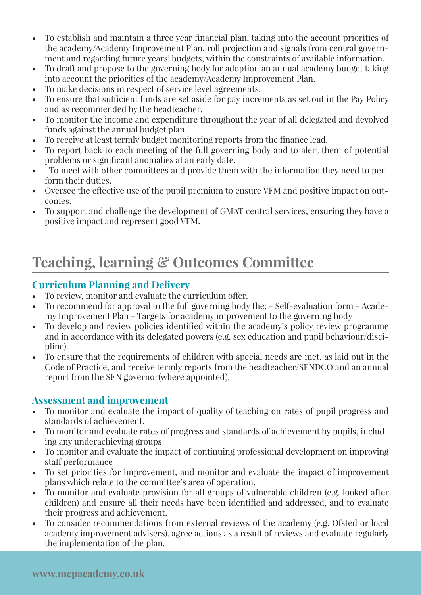- To establish and maintain a three year financial plan, taking into the account priorities of the academy/Academy Improvement Plan, roll projection and signals from central government and regarding future years' budgets, within the constraints of available information.
- To draft and propose to the governing body for adoption an annual academy budget taking into account the priorities of the academy/Academy Improvement Plan.
- To make decisions in respect of service level agreements.
- To ensure that sufficient funds are set aside for pay increments as set out in the Pay Policy and as recommended by the headteacher.
- To monitor the income and expenditure throughout the year of all delegated and devolved funds against the annual budget plan.
- To receive at least termly budget monitoring reports from the finance lead.
- To report back to each meeting of the full governing body and to alert them of potential problems or significant anomalies at an early date.
- -To meet with other committees and provide them with the information they need to perform their duties.
- Oversee the effective use of the pupil premium to ensure VFM and positive impact on outcomes.
- To support and challenge the development of GMAT central services, ensuring they have a positive impact and represent good VFM.

### **Teaching, learning & Outcomes Committee**

#### **Curriculum Planning and Delivery**

- To review, monitor and evaluate the curriculum offer.
- To recommend for approval to the full governing body the: Self-evaluation form Academy Improvement Plan - Targets for academy improvement to the governing body
- To develop and review policies identified within the academy's policy review programme and in accordance with its delegated powers (e.g. sex education and pupil behaviour/discipline).
- To ensure that the requirements of children with special needs are met, as laid out in the Code of Practice, and receive termly reports from the headteacher/SENDCO and an annual report from the SEN governor(where appointed).

#### **Assessment and improvement**

- To monitor and evaluate the impact of quality of teaching on rates of pupil progress and standards of achievement.
- To monitor and evaluate rates of progress and standards of achievement by pupils, including any underachieving groups
- To monitor and evaluate the impact of continuing professional development on improving staff performance
- To set priorities for improvement, and monitor and evaluate the impact of improvement plans which relate to the committee's area of operation.
- To monitor and evaluate provision for all groups of vulnerable children (e.g. looked after children) and ensure all their needs have been identified and addressed, and to evaluate their progress and achievement.
- To consider recommendations from external reviews of the academy (e.g. Ofsted or local academy improvement advisers), agree actions as a result of reviews and evaluate regularly the implementation of the plan.